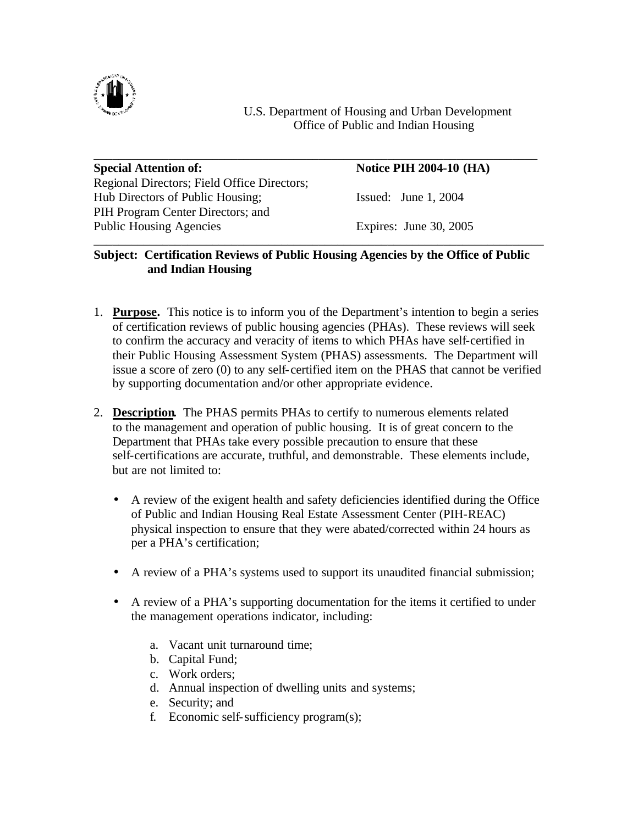

U.S. Department of Housing and Urban Development Office of Public and Indian Housing

| <b>Special Attention of:</b>                | <b>Notice PIH 2004-10 (HA)</b> |
|---------------------------------------------|--------------------------------|
| Regional Directors; Field Office Directors; |                                |
| Hub Directors of Public Housing;            | Issued: June 1, $2004$         |
| PIH Program Center Directors; and           |                                |
| <b>Public Housing Agencies</b>              | Expires: June 30, 2005         |

## **Subject: Certification Reviews of Public Housing Agencies by the Office of Public and Indian Housing**

- 1. **Purpose.** This notice is to inform you of the Department's intention to begin a series of certification reviews of public housing agencies (PHAs). These reviews will seek to confirm the accuracy and veracity of items to which PHAs have self-certified in their Public Housing Assessment System (PHAS) assessments. The Department will issue a score of zero (0) to any self-certified item on the PHAS that cannot be verified by supporting documentation and/or other appropriate evidence.
- 2. **Description.** The PHAS permits PHAs to certify to numerous elements related to the management and operation of public housing. It is of great concern to the Department that PHAs take every possible precaution to ensure that these self-certifications are accurate, truthful, and demonstrable. These elements include, but are not limited to:
	- A review of the exigent health and safety deficiencies identified during the Office of Public and Indian Housing Real Estate Assessment Center (PIH-REAC) physical inspection to ensure that they were abated/corrected within 24 hours as per a PHA's certification;
	- A review of a PHA's systems used to support its unaudited financial submission;
	- A review of a PHA's supporting documentation for the items it certified to under the management operations indicator, including:
		- a. Vacant unit turnaround time;
		- b. Capital Fund;
		- c. Work orders;
		- d. Annual inspection of dwelling units and systems;
		- e. Security; and
		- f. Economic self-sufficiency program(s);